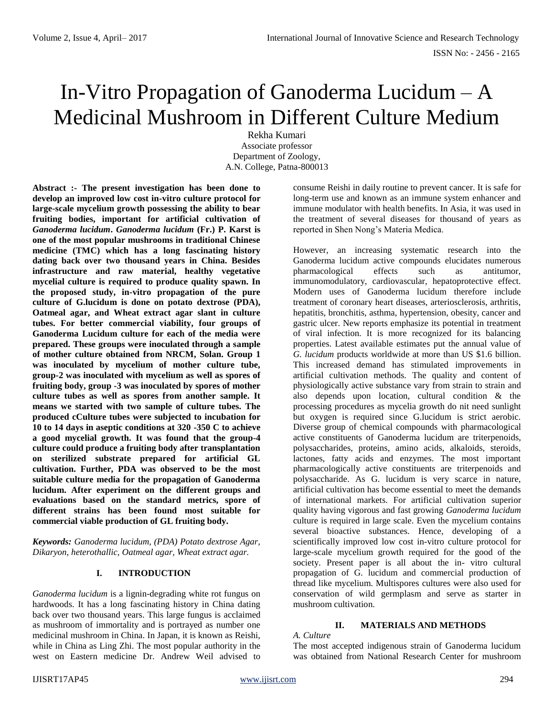# In-Vitro Propagation of Ganoderma Lucidum – A Medicinal Mushroom in Different Culture Medium

Rekha Kumari Associate professor Department of Zoology, A.N. College, Patna-800013

**Abstract :- The present investigation has been done to develop an improved low cost in-vitro culture protocol for large-scale mycelium growth possessing the ability to bear fruiting bodies, important for artificial cultivation of**  *Ganoderma lucidum***.** *Ganoderma lucidum* **(Fr.) P. Karst is one of the most popular mushrooms in traditional Chinese medicine (TMC) which has a long fascinating history dating back over two thousand years in China. Besides infrastructure and raw material, healthy vegetative mycelial culture is required to produce quality spawn. In the proposed study, in-vitro propagation of the pure culture of G.lucidum is done on potato dextrose (PDA), Oatmeal agar, and Wheat extract agar slant in culture tubes. For better commercial viability, four groups of Ganoderma Lucidum culture for each of the media were prepared. These groups were inoculated through a sample of mother culture obtained from NRCM, Solan. Group 1 was inoculated by mycelium of mother culture tube, group-2 was inoculated with mycelium as well as spores of fruiting body, group -3 was inoculated by spores of mother culture tubes as well as spores from another sample. It means we started with two sample of culture tubes. The produced cCulture tubes were subjected to incubation for 10 to 14 days in aseptic conditions at 320 -350 C to achieve a good mycelial growth. It was found that the group-4 culture could produce a fruiting body after transplantation on sterilized substrate prepared for artificial GL cultivation. Further, PDA was observed to be the most suitable culture media for the propagation of Ganoderma lucidum. After experiment on the different groups and evaluations based on the standard metrics, spore of different strains has been found most suitable for commercial viable production of GL fruiting body.**

*Keywords: Ganoderma lucidum, (PDA) Potato dextrose Agar, Dikaryon, heterothallic, Oatmeal agar, Wheat extract agar.*

# **I. INTRODUCTION**

*Ganoderma lucidum* is a lignin-degrading white rot fungus on hardwoods. It has a long fascinating history in China dating back over two thousand years. This large fungus is acclaimed as mushroom of immortality and is portrayed as number one medicinal mushroom in China. In Japan, it is known as Reishi, while in China as Ling Zhi. The most popular authority in the west on Eastern medicine Dr. Andrew Weil advised to consume Reishi in daily routine to prevent cancer. It is safe for long-term use and known as an immune system enhancer and immune modulator with health benefits. In Asia, it was used in the treatment of several diseases for thousand of years as reported in Shen Nong's Materia Medica.

However, an increasing systematic research into the Ganoderma lucidum active compounds elucidates numerous pharmacological effects such as antitumor, immunomodulatory, cardiovascular, hepatoprotective effect. Modern uses of Ganoderma lucidum therefore include treatment of coronary heart diseases, arteriosclerosis, arthritis, hepatitis, bronchitis, asthma, hypertension, obesity, cancer and gastric ulcer. New reports emphasize its potential in treatment of viral infection. It is more recognized for its balancing properties. Latest available estimates put the annual value of *G. lucidum* products worldwide at more than US \$1.6 billion. This increased demand has stimulated improvements in artificial cultivation methods. The quality and content of physiologically active substance vary from strain to strain and also depends upon location, cultural condition & the processing procedures as mycelia growth do nit need sunlight but oxygen is required since G.lucidum is strict aerobic. Diverse group of chemical compounds with pharmacological active constituents of Ganoderma lucidum are triterpenoids, polysaccharides, proteins, amino acids, alkaloids, steroids, lactones, fatty acids and enzymes. The most important pharmacologically active constituents are triterpenoids and polysaccharide. As G. lucidum is very scarce in nature, artificial cultivation has become essential to meet the demands of international markets. For artificial cultivation superior quality having vigorous and fast growing *Ganoderma lucidum*  culture is required in large scale. Even the mycelium contains several bioactive substances. Hence, developing of a scientifically improved low cost in-vitro culture protocol for large-scale mycelium growth required for the good of the society. Present paper is all about the in- vitro cultural propagation of G. lucidum and commercial production of thread like mycelium. Multispores cultures were also used for conservation of wild germplasm and serve as starter in mushroom cultivation.

# **II. MATERIALS AND METHODS**

#### *A. Culture*

The most accepted indigenous strain of Ganoderma lucidum was obtained from National Research Center for mushroom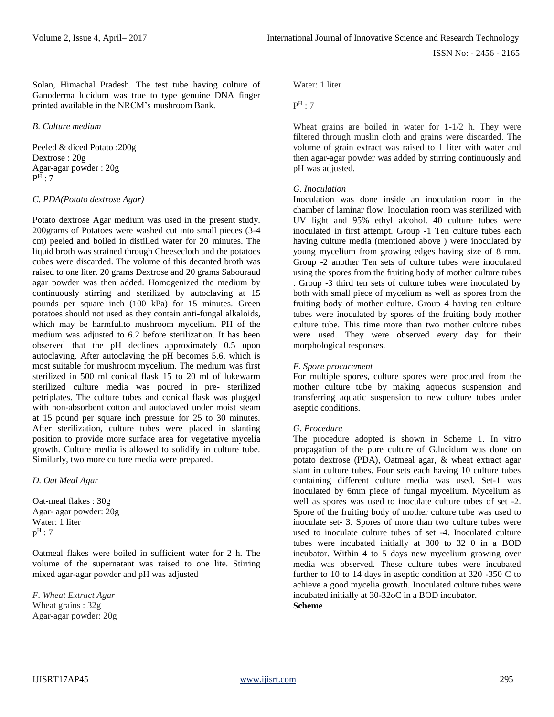Solan, Himachal Pradesh. The test tube having culture of Ganoderma lucidum was true to type genuine DNA finger printed available in the NRCM's mushroom Bank.

#### *B. Culture medium*

Peeled & diced Potato :200g Dextrose : 20g Agar-agar powder : 20g  $P^{\rm H}$  : 7

#### *C. PDA(Potato dextrose Agar)*

Potato dextrose Agar medium was used in the present study. 200grams of Potatoes were washed cut into small pieces (3-4 cm) peeled and boiled in distilled water for 20 minutes. The liquid broth was strained through Cheesecloth and the potatoes cubes were discarded. The volume of this decanted broth was raised to one liter. 20 grams Dextrose and 20 grams Sabouraud agar powder was then added. Homogenized the medium by continuously stirring and sterilized by autoclaving at 15 pounds per square inch (100 kPa) for 15 minutes. Green potatoes should not used as they contain anti-fungal alkaloids, which may be harmful.to mushroom mycelium. PH of the medium was adjusted to 6.2 before sterilization. It has been observed that the pH declines approximately 0.5 upon autoclaving. After autoclaving the pH becomes 5.6, which is most suitable for mushroom mycelium. The medium was first sterilized in 500 ml conical flask 15 to 20 ml of lukewarm sterilized culture media was poured in pre- sterilized petriplates. The culture tubes and conical flask was plugged with non-absorbent cotton and autoclaved under moist steam at 15 pound per square inch pressure for 25 to 30 minutes. After sterilization, culture tubes were placed in slanting position to provide more surface area for vegetative mycelia growth. Culture media is allowed to solidify in culture tube. Similarly, two more culture media were prepared.

*D. Oat Meal Agar*

Oat-meal flakes : 30g Agar- agar powder: 20g Water: 1 liter  $p^H:7$ 

Oatmeal flakes were boiled in sufficient water for 2 h. The volume of the supernatant was raised to one lite. Stirring mixed agar-agar powder and pH was adjusted

*F. Wheat Extract Agar* Wheat grains : 32g Agar-agar powder: 20g Water: 1 liter

 $P<sup>H</sup>$  : 7

Wheat grains are boiled in water for 1-1/2 h. They were filtered through muslin cloth and grains were discarded. The volume of grain extract was raised to 1 liter with water and then agar-agar powder was added by stirring continuously and pH was adjusted.

#### *G. Inoculation*

Inoculation was done inside an inoculation room in the chamber of laminar flow. Inoculation room was sterilized with UV light and 95% ethyl alcohol. 40 culture tubes were inoculated in first attempt. Group -1 Ten culture tubes each having culture media (mentioned above ) were inoculated by young mycelium from growing edges having size of 8 mm. Group -2 another Ten sets of culture tubes were inoculated using the spores from the fruiting body of mother culture tubes . Group -3 third ten sets of culture tubes were inoculated by both with small piece of mycelium as well as spores from the fruiting body of mother culture. Group 4 having ten culture tubes were inoculated by spores of the fruiting body mother culture tube. This time more than two mother culture tubes were used. They were observed every day for their morphological responses.

#### *F. Spore procurement*

For multiple spores, culture spores were procured from the mother culture tube by making aqueous suspension and transferring aquatic suspension to new culture tubes under aseptic conditions.

## *G. Procedure*

The procedure adopted is shown in Scheme 1. In vitro propagation of the pure culture of G.lucidum was done on potato dextrose (PDA), Oatmeal agar, & wheat extract agar slant in culture tubes. Four sets each having 10 culture tubes containing different culture media was used. Set-1 was inoculated by 6mm piece of fungal mycelium. Mycelium as well as spores was used to inoculate culture tubes of set -2. Spore of the fruiting body of mother culture tube was used to inoculate set- 3. Spores of more than two culture tubes were used to inoculate culture tubes of set -4. Inoculated culture tubes were incubated initially at 300 to 32 0 in a BOD incubator. Within 4 to 5 days new mycelium growing over media was observed. These culture tubes were incubated further to 10 to 14 days in aseptic condition at 320 -350 C to achieve a good mycelia growth. Inoculated culture tubes were incubated initially at 30-32oC in a BOD incubator. **Scheme**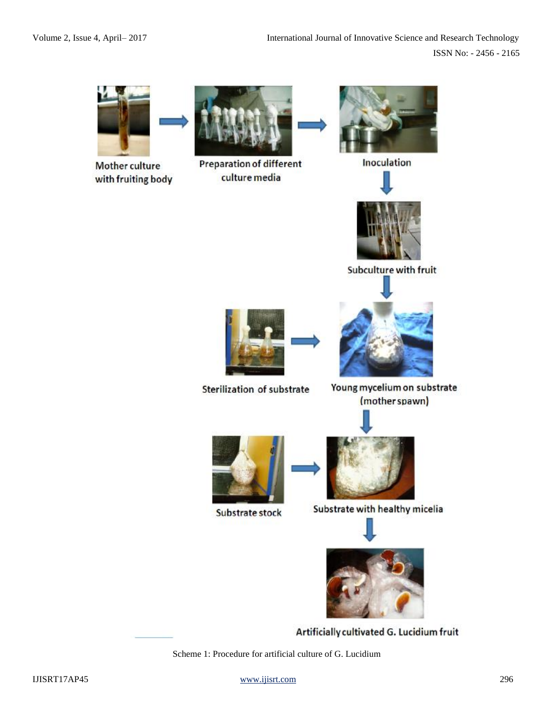